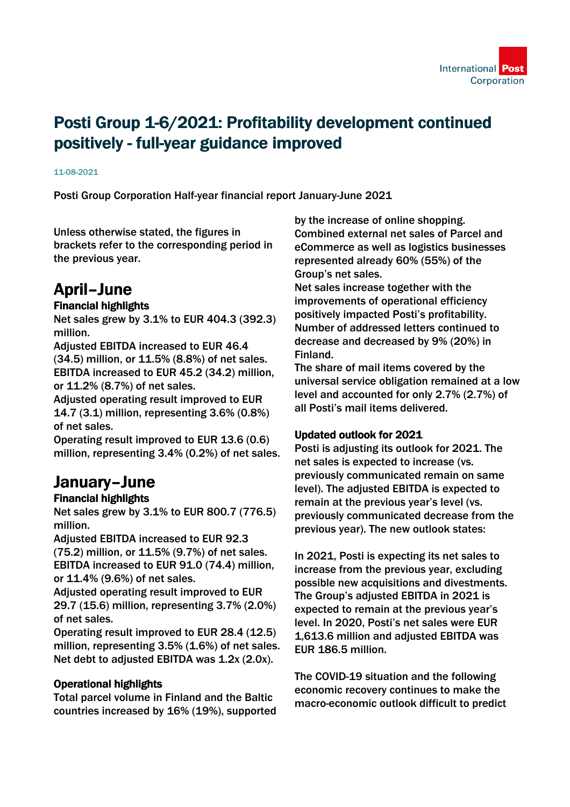# Posti Group 1-6/2021: Profitability development continued positively - full-year guidance improved

#### 11-08-2021

Posti Group Corporation Half-year financial report January-June 2021

Unless otherwise stated, the figures in brackets refer to the corresponding period in the previous year.

## April–June

## Financial highlights

Net sales grew by 3.1% to EUR 404.3 (392.3) million.

Adjusted EBITDA increased to EUR 46.4 (34.5) million, or 11.5% (8.8%) of net sales. EBITDA increased to EUR 45.2 (34.2) million, or 11.2% (8.7%) of net sales.

Adjusted operating result improved to EUR 14.7 (3.1) million, representing 3.6% (0.8%) of net sales.

Operating result improved to EUR 13.6 (0.6) million, representing 3.4% (0.2%) of net sales.

## January–June

## Financial highlights

Net sales grew by 3.1% to EUR 800.7 (776.5) million.

Adjusted EBITDA increased to EUR 92.3 (75.2) million, or 11.5% (9.7%) of net sales. EBITDA increased to EUR 91.0 (74.4) million, or 11.4% (9.6%) of net sales.

Adjusted operating result improved to EUR 29.7 (15.6) million, representing 3.7% (2.0%) of net sales.

Operating result improved to EUR 28.4 (12.5) million, representing 3.5% (1.6%) of net sales. Net debt to adjusted EBITDA was 1.2x (2.0x).

## Operational highlights

Total parcel volume in Finland and the Baltic countries increased by 16% (19%), supported by the increase of online shopping. Combined external net sales of Parcel and eCommerce as well as logistics businesses represented already 60% (55%) of the Group's net sales.

Net sales increase together with the improvements of operational efficiency positively impacted Posti's profitability. Number of addressed letters continued to decrease and decreased by 9% (20%) in Finland.

The share of mail items covered by the universal service obligation remained at a low level and accounted for only 2.7% (2.7%) of all Posti's mail items delivered.

## Updated outlook for 2021

Posti is adjusting its outlook for 2021. The net sales is expected to increase (vs. previously communicated remain on same level). The adjusted EBITDA is expected to remain at the previous year's level (vs. previously communicated decrease from the previous year). The new outlook states:

In 2021, Posti is expecting its net sales to increase from the previous year, excluding possible new acquisitions and divestments. The Group's adjusted EBITDA in 2021 is expected to remain at the previous year's level. In 2020, Posti's net sales were EUR 1,613.6 million and adjusted EBITDA was EUR 186.5 million.

The COVID-19 situation and the following economic recovery continues to make the macro-economic outlook difficult to predict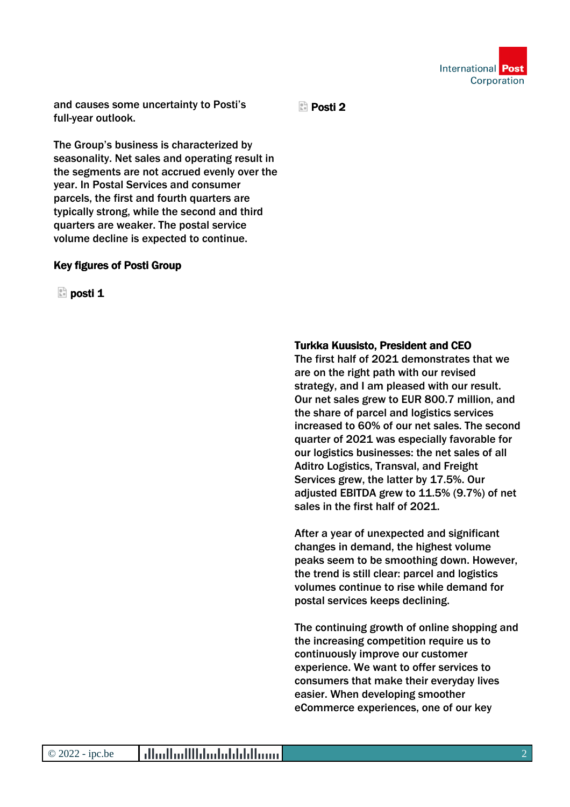

and causes some uncertainty to Posti's full-year outlook.

**Posti** 2

The Group's business is characterized by seasonality. Net sales and operating result in the segments are not accrued evenly over the year. In Postal Services and consumer parcels, the first and fourth quarters are typically strong, while the second and third quarters are weaker. The postal service volume decline is expected to continue.

#### Key figures of Posti Group

 $\Box$  posti 1

#### Turkka Kuusisto, President and CEO

The first half of 2021 demonstrates that we are on the right path with our revised strategy, and I am pleased with our result. Our net sales grew to EUR 800.7 million, and the share of parcel and logistics services increased to 60% of our net sales. The second quarter of 2021 was especially favorable for our logistics businesses: the net sales of all Aditro Logistics, Transval, and Freight Services grew, the latter by 17.5%. Our adjusted EBITDA grew to 11.5% (9.7%) of net sales in the first half of 2021.

After a year of unexpected and significant changes in demand, the highest volume peaks seem to be smoothing down. However, the trend is still clear: parcel and logistics volumes continue to rise while demand for postal services keeps declining.

The continuing growth of online shopping and the increasing competition require us to continuously improve our customer experience. We want to offer services to consumers that make their everyday lives easier. When developing smoother eCommerce experiences, one of our key